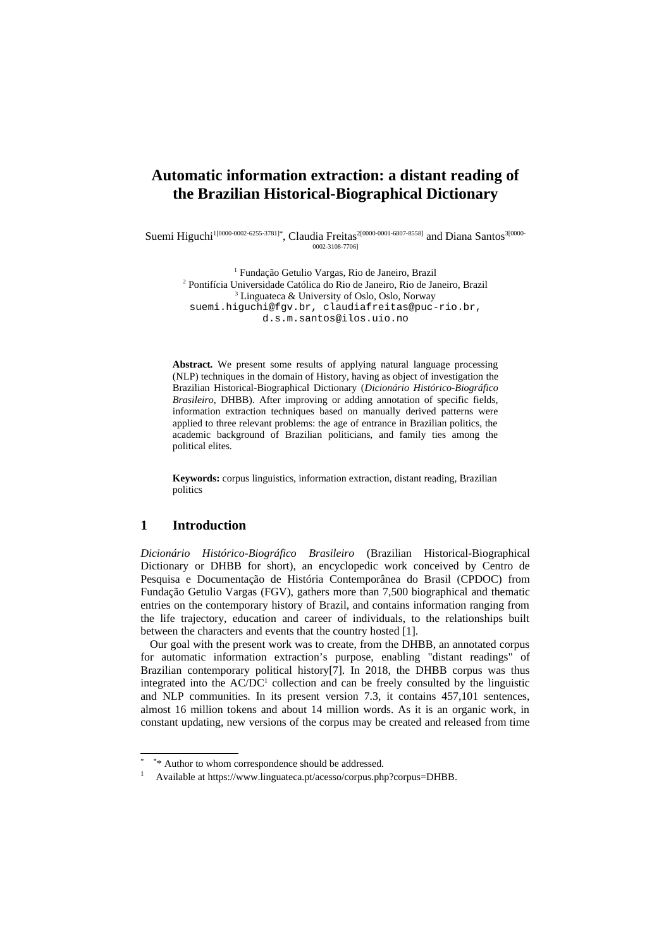# **Automatic information extraction: a distant reading of the Brazilian Historical-Biographical Dictionary**

Suemi Higuchi<sup>1[0000-0002-6255-3781[\]\\*](#page-0-0)</sup>, Claudia Freitas<sup>2[0000-0001-6807-8558]</sup> and Diana Santos<sup>3[0000-</sup> 0002-3108-7706]

<sup>1</sup> Fundação Getulio Vargas, Rio de Janeiro, Brazil <sup>2</sup> Pontifícia Universidade Católica do Rio de Janeiro, Rio de Janeiro, Brazil <sup>3</sup> Linguateca & University of Oslo, Oslo, Norway suemi.higuchi@fgv.br, claudiafreitas@puc-rio.br, d.s.m.santos@ilos.uio.no

**Abstract.** We present some results of applying natural language processing (NLP) techniques in the domain of History, having as object of investigation the Brazilian Historical-Biographical Dictionary (*Dicionário Histórico-Biográfico Brasileiro*, DHBB). After improving or adding annotation of specific fields, information extraction techniques based on manually derived patterns were applied to three relevant problems: the age of entrance in Brazilian politics, the academic background of Brazilian politicians, and family ties among the political elites.

**Keywords:** corpus linguistics, information extraction, distant reading, Brazilian politics

### **1 Introduction**

*Dicionário Histórico-Biográfico Brasileiro* (Brazilian Historical-Biographical Dictionary or DHBB for short), an encyclopedic work conceived by Centro de Pesquisa e Documentação de História Contemporânea do Brasil (CPDOC) from Fundação Getulio Vargas (FGV), gathers more than 7,500 biographical and thematic entries on the contemporary history of Brazil, and contains information ranging from the life trajectory, education and career of individuals, to the relationships built between the characters and events that the country hosted [1].

 Our goal with the present work was to create, from the DHBB, an annotated corpus for automatic information extraction's purpose, enabling "distant readings" of Brazilian contemporary political history[7]. In 2018, the DHBB corpus was thus integrated into the  $AC/DC<sup>1</sup>$  $AC/DC<sup>1</sup>$  $AC/DC<sup>1</sup>$  collection and can be freely consulted by the linguistic and NLP communities. In its present version 7.3, it contains 457,101 sentences, almost 16 million tokens and about 14 million words. As it is an organic work, in constant updating, new versions of the corpus may be created and released from time

<span id="page-0-0"></span><sup>\* \*\*</sup> Author to whom correspondence should be addressed.

<span id="page-0-1"></span><sup>1</sup> Available at https://www.linguateca.pt/acesso/corpus.php?corpus=DHBB.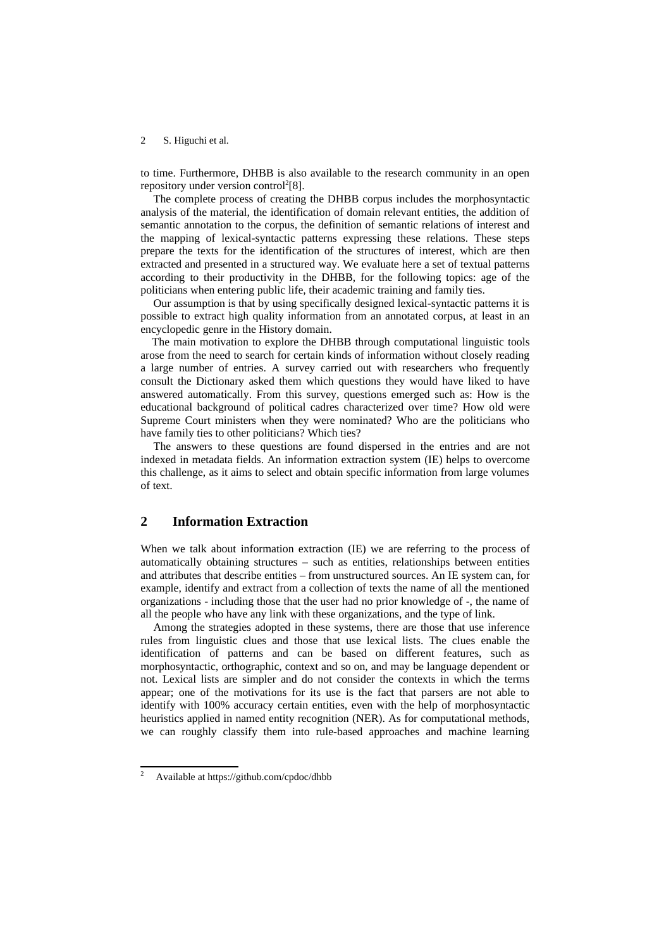to time. Furthermore, DHBB is also available to the research community in an open repository under version control<sup>[2](#page-1-0)</sup>[8].

The complete process of creating the DHBB corpus includes the morphosyntactic analysis of the material, the identification of domain relevant entities, the addition of semantic annotation to the corpus, the definition of semantic relations of interest and the mapping of lexical-syntactic patterns expressing these relations. These steps prepare the texts for the identification of the structures of interest, which are then extracted and presented in a structured way. We evaluate here a set of textual patterns according to their productivity in the DHBB, for the following topics: age of the politicians when entering public life, their academic training and family ties.

Our assumption is that by using specifically designed lexical-syntactic patterns it is possible to extract high quality information from an annotated corpus, at least in an encyclopedic genre in the History domain.

 The main motivation to explore the DHBB through computational linguistic tools arose from the need to search for certain kinds of information without closely reading a large number of entries. A survey carried out with researchers who frequently consult the Dictionary asked them which questions they would have liked to have answered automatically. From this survey, questions emerged such as: How is the educational background of political cadres characterized over time? How old were Supreme Court ministers when they were nominated? Who are the politicians who have family ties to other politicians? Which ties?

The answers to these questions are found dispersed in the entries and are not indexed in metadata fields. An information extraction system (IE) helps to overcome this challenge, as it aims to select and obtain specific information from large volumes of text.

### **2 Information Extraction**

When we talk about information extraction (IE) we are referring to the process of automatically obtaining structures – such as entities, relationships between entities and attributes that describe entities – from unstructured sources. An IE system can, for example, identify and extract from a collection of texts the name of all the mentioned organizations - including those that the user had no prior knowledge of -, the name of all the people who have any link with these organizations, and the type of link.

Among the strategies adopted in these systems, there are those that use inference rules from linguistic clues and those that use lexical lists. The clues enable the identification of patterns and can be based on different features, such as morphosyntactic, orthographic, context and so on, and may be language dependent or not. Lexical lists are simpler and do not consider the contexts in which the terms appear; one of the motivations for its use is the fact that parsers are not able to identify with 100% accuracy certain entities, even with the help of morphosyntactic heuristics applied in named entity recognition (NER). As for computational methods, we can roughly classify them into rule-based approaches and machine learning

<span id="page-1-0"></span><sup>2</sup> Available at https://github.com/cpdoc/dhbb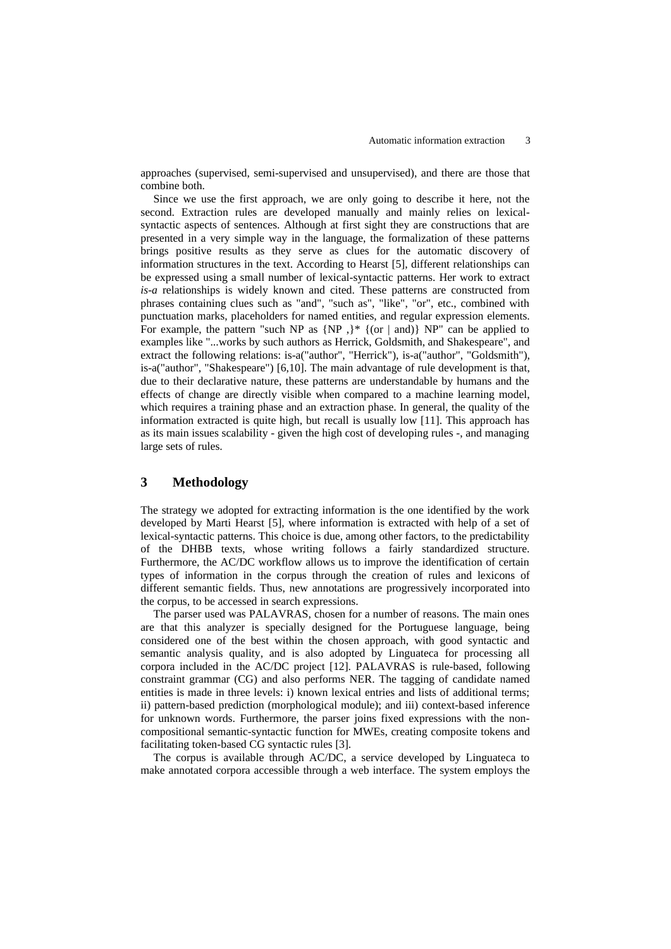approaches (supervised, semi-supervised and unsupervised), and there are those that combine both.

Since we use the first approach, we are only going to describe it here, not the second. Extraction rules are developed manually and mainly relies on lexicalsyntactic aspects of sentences. Although at first sight they are constructions that are presented in a very simple way in the language, the formalization of these patterns brings positive results as they serve as clues for the automatic discovery of information structures in the text. According to Hearst [5], different relationships can be expressed using a small number of lexical-syntactic patterns. Her work to extract *is-a* relationships is widely known and cited. These patterns are constructed from phrases containing clues such as "and", "such as", "like", "or", etc., combined with punctuation marks, placeholders for named entities, and regular expression elements. For example, the pattern "such NP as  $\{NP, \}^*$   $\{(or \mid and)\}$  NP" can be applied to examples like "...works by such authors as Herrick, Goldsmith, and Shakespeare", and extract the following relations: is-a("author", "Herrick"), is-a("author", "Goldsmith"), is-a("author", "Shakespeare") [6,10]. The main advantage of rule development is that, due to their declarative nature, these patterns are understandable by humans and the effects of change are directly visible when compared to a machine learning model, which requires a training phase and an extraction phase. In general, the quality of the information extracted is quite high, but recall is usually low [11]. This approach has as its main issues scalability - given the high cost of developing rules -, and managing large sets of rules.

# **3 Methodology**

The strategy we adopted for extracting information is the one identified by the work developed by Marti Hearst [5], where information is extracted with help of a set of lexical-syntactic patterns. This choice is due, among other factors, to the predictability of the DHBB texts, whose writing follows a fairly standardized structure. Furthermore, the AC/DC workflow allows us to improve the identification of certain types of information in the corpus through the creation of rules and lexicons of different semantic fields. Thus, new annotations are progressively incorporated into the corpus, to be accessed in search expressions.

The parser used was PALAVRAS, chosen for a number of reasons. The main ones are that this analyzer is specially designed for the Portuguese language, being considered one of the best within the chosen approach, with good syntactic and semantic analysis quality, and is also adopted by Linguateca for processing all corpora included in the AC/DC project [12]. PALAVRAS is rule-based, following constraint grammar (CG) and also performs NER. The tagging of candidate named entities is made in three levels: i) known lexical entries and lists of additional terms; ii) pattern-based prediction (morphological module); and iii) context-based inference for unknown words. Furthermore, the parser joins fixed expressions with the noncompositional semantic-syntactic function for MWEs, creating composite tokens and facilitating token-based CG syntactic rules [3].

The corpus is available through AC/DC, a service developed by Linguateca to make annotated corpora accessible through a web interface. The system employs the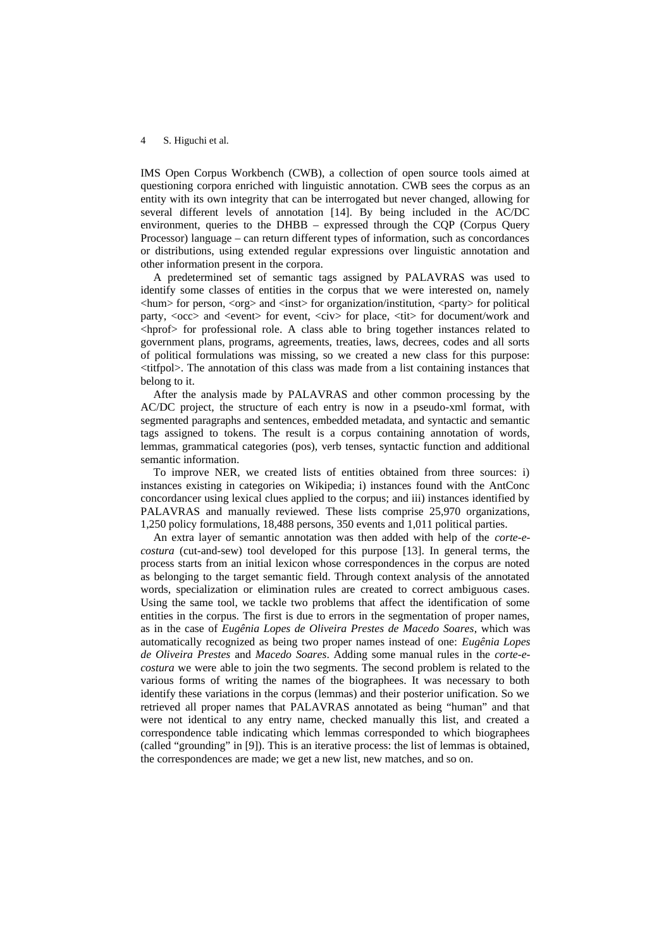IMS Open Corpus Workbench (CWB), a collection of open source tools aimed at questioning corpora enriched with linguistic annotation. CWB sees the corpus as an entity with its own integrity that can be interrogated but never changed, allowing for several different levels of annotation [14]. By being included in the AC/DC environment, queries to the DHBB – expressed through the CQP (Corpus Query Processor) language – can return different types of information, such as concordances or distributions, using extended regular expressions over linguistic annotation and other information present in the corpora.

A predetermined set of semantic tags assigned by PALAVRAS was used to identify some classes of entities in the corpus that we were interested on, namely  $\langle$ hum $\rangle$  for person,  $\langle$ org $\rangle$  and  $\langle$ inst $\rangle$  for organization/institution,  $\langle$ party $\rangle$  for political party, <occ> and <event> for event, <civ> for place, <tit> for document/work and <hprof> for professional role. A class able to bring together instances related to government plans, programs, agreements, treaties, laws, decrees, codes and all sorts of political formulations was missing, so we created a new class for this purpose: <titfpol>. The annotation of this class was made from a list containing instances that belong to it.

After the analysis made by PALAVRAS and other common processing by the AC/DC project, the structure of each entry is now in a pseudo-xml format, with segmented paragraphs and sentences, embedded metadata, and syntactic and semantic tags assigned to tokens. The result is a corpus containing annotation of words, lemmas, grammatical categories (pos), verb tenses, syntactic function and additional semantic information.

To improve NER, we created lists of entities obtained from three sources: i) instances existing in categories on Wikipedia; i) instances found with the AntConc concordancer using lexical clues applied to the corpus; and iii) instances identified by PALAVRAS and manually reviewed. These lists comprise 25,970 organizations, 1,250 policy formulations, 18,488 persons, 350 events and 1,011 political parties.

An extra layer of semantic annotation was then added with help of the *corte-ecostura* (cut-and-sew) tool developed for this purpose [13]. In general terms, the process starts from an initial lexicon whose correspondences in the corpus are noted as belonging to the target semantic field. Through context analysis of the annotated words, specialization or elimination rules are created to correct ambiguous cases. Using the same tool, we tackle two problems that affect the identification of some entities in the corpus. The first is due to errors in the segmentation of proper names, as in the case of *Eugênia Lopes de Oliveira Prestes de Macedo Soares*, which was automatically recognized as being two proper names instead of one: *Eugênia Lopes de Oliveira Prestes* and *Macedo Soares*. Adding some manual rules in the *corte-ecostura* we were able to join the two segments. The second problem is related to the various forms of writing the names of the biographees. It was necessary to both identify these variations in the corpus (lemmas) and their posterior unification. So we retrieved all proper names that PALAVRAS annotated as being "human" and that were not identical to any entry name, checked manually this list, and created a correspondence table indicating which lemmas corresponded to which biographees (called "grounding" in [9]). This is an iterative process: the list of lemmas is obtained, the correspondences are made; we get a new list, new matches, and so on.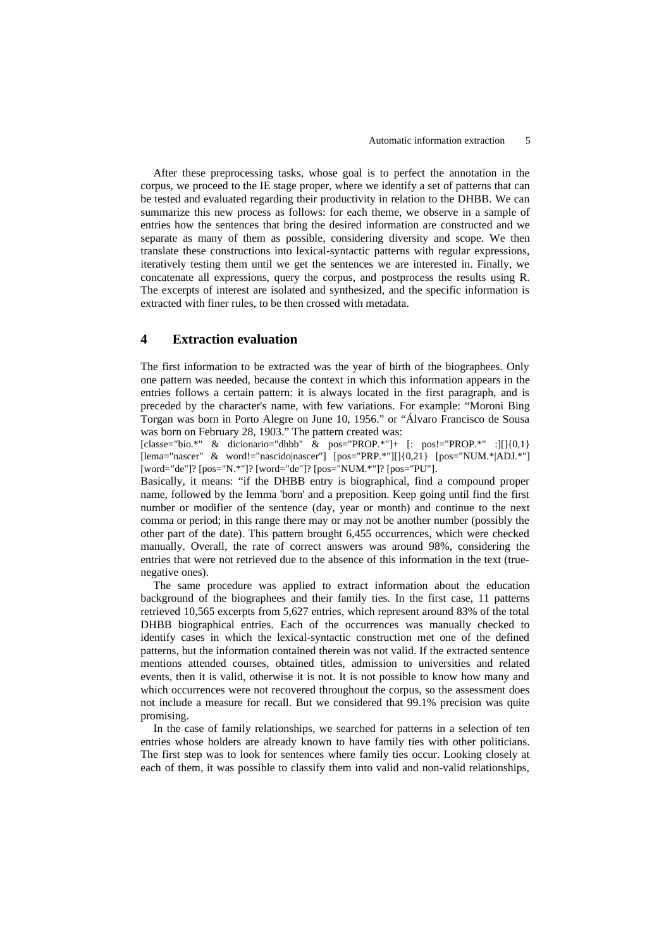After these preprocessing tasks, whose goal is to perfect the annotation in the corpus, we proceed to the IE stage proper, where we identify a set of patterns that can be tested and evaluated regarding their productivity in relation to the DHBB. We can summarize this new process as follows: for each theme, we observe in a sample of entries how the sentences that bring the desired information are constructed and we separate as many of them as possible, considering diversity and scope. We then translate these constructions into lexical-syntactic patterns with regular expressions, iteratively testing them until we get the sentences we are interested in. Finally, we concatenate all expressions, query the corpus, and postprocess the results using R. The excerpts of interest are isolated and synthesized, and the specific information is extracted with finer rules, to be then crossed with metadata.

# **4 Extraction evaluation**

The first information to be extracted was the year of birth of the biographees. Only one pattern was needed, because the context in which this information appears in the entries follows a certain pattern: it is always located in the first paragraph, and is preceded by the character's name, with few variations. For example: "Moroni Bing Torgan was born in Porto Alegre on June 10, 1956." or "Álvaro Francisco de Sousa was born on February 28, 1903." The pattern created was:

[classe="bio.\*" & dicionario="dhbb" & pos="PROP.\*"]+ [: pos!="PROP.\*" :][]{0,1} [lema="nascer" & word!="nascido|nascer"] [pos="PRP.\*"][]{0,21} [pos="NUM.\*|ADJ.\*"] [word="de"]? [pos="N.\*"]? [word="de"]? [pos="NUM.\*"]? [pos="PU"].

Basically, it means: "if the DHBB entry is biographical, find a compound proper name, followed by the lemma 'born' and a preposition. Keep going until find the first number or modifier of the sentence (day, year or month) and continue to the next comma or period; in this range there may or may not be another number (possibly the other part of the date). This pattern brought 6,455 occurrences, which were checked manually. Overall, the rate of correct answers was around 98%, considering the entries that were not retrieved due to the absence of this information in the text (truenegative ones).

The same procedure was applied to extract information about the education background of the biographees and their family ties. In the first case, 11 patterns retrieved 10,565 excerpts from 5,627 entries, which represent around 83% of the total DHBB biographical entries. Each of the occurrences was manually checked to identify cases in which the lexical-syntactic construction met one of the defined patterns, but the information contained therein was not valid. If the extracted sentence mentions attended courses, obtained titles, admission to universities and related events, then it is valid, otherwise it is not. It is not possible to know how many and which occurrences were not recovered throughout the corpus, so the assessment does not include a measure for recall. But we considered that 99.1% precision was quite promising.

In the case of family relationships, we searched for patterns in a selection of ten entries whose holders are already known to have family ties with other politicians. The first step was to look for sentences where family ties occur. Looking closely at each of them, it was possible to classify them into valid and non-valid relationships,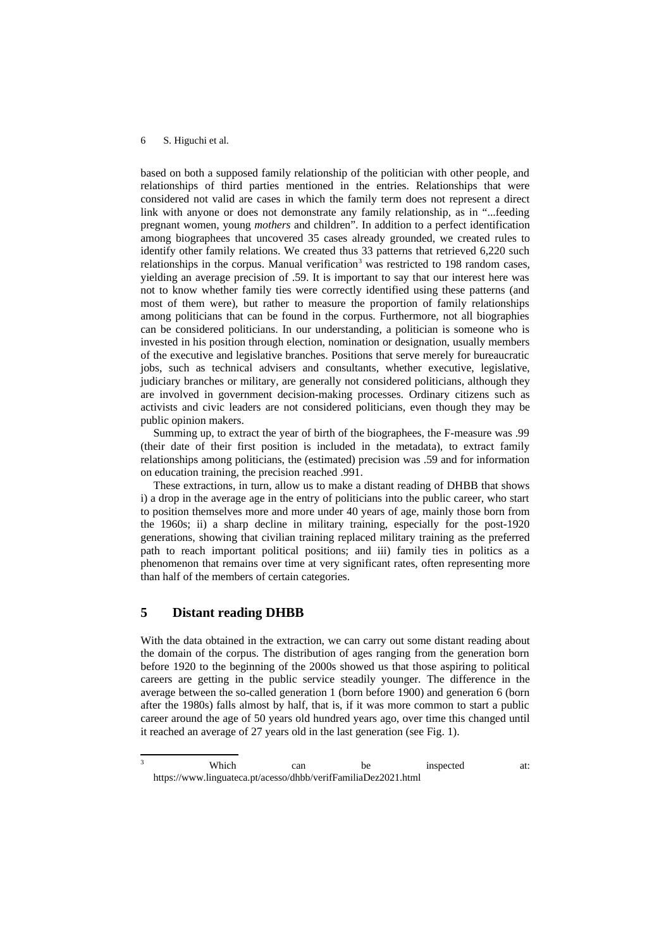based on both a supposed family relationship of the politician with other people, and relationships of third parties mentioned in the entries. Relationships that were considered not valid are cases in which the family term does not represent a direct link with anyone or does not demonstrate any family relationship, as in "...feeding pregnant women, young *mothers* and children". In addition to a perfect identification among biographees that uncovered 35 cases already grounded, we created rules to identify other family relations. We created thus 33 patterns that retrieved 6,220 such relationships in the corpus. Manual verification<sup>[3](#page-5-0)</sup> was restricted to 198 random cases, yielding an average precision of .59. It is important to say that our interest here was not to know whether family ties were correctly identified using these patterns (and most of them were), but rather to measure the proportion of family relationships among politicians that can be found in the corpus. Furthermore, not all biographies can be considered politicians. In our understanding, a politician is someone who is invested in his position through election, nomination or designation, usually members of the executive and legislative branches. Positions that serve merely for bureaucratic jobs, such as technical advisers and consultants, whether executive, legislative, judiciary branches or military, are generally not considered politicians, although they are involved in government decision-making processes. Ordinary citizens such as activists and civic leaders are not considered politicians, even though they may be public opinion makers.

Summing up, to extract the year of birth of the biographees, the F-measure was .99 (their date of their first position is included in the metadata), to extract family relationships among politicians, the (estimated) precision was .59 and for information on education training, the precision reached .991.

These extractions, in turn, allow us to make a distant reading of DHBB that shows i) a drop in the average age in the entry of politicians into the public career, who start to position themselves more and more under 40 years of age, mainly those born from the 1960s; ii) a sharp decline in military training, especially for the post-1920 generations, showing that civilian training replaced military training as the preferred path to reach important political positions; and iii) family ties in politics as a phenomenon that remains over time at very significant rates, often representing more than half of the members of certain categories.

# **5 Distant reading DHBB**

With the data obtained in the extraction, we can carry out some distant reading about the domain of the corpus. The distribution of ages ranging from the generation born before 1920 to the beginning of the 2000s showed us that those aspiring to political careers are getting in the public service steadily younger. The difference in the average between the so-called generation 1 (born before 1900) and generation 6 (born after the 1980s) falls almost by half, that is, if it was more common to start a public career around the age of 50 years old hundred years ago, over time this changed until it reached an average of 27 years old in the last generation (see Fig. 1).

<span id="page-5-0"></span><sup>&</sup>lt;sup>3</sup> Which can be inspected at: https://www.linguateca.pt/acesso/dhbb/verifFamiliaDez2021.html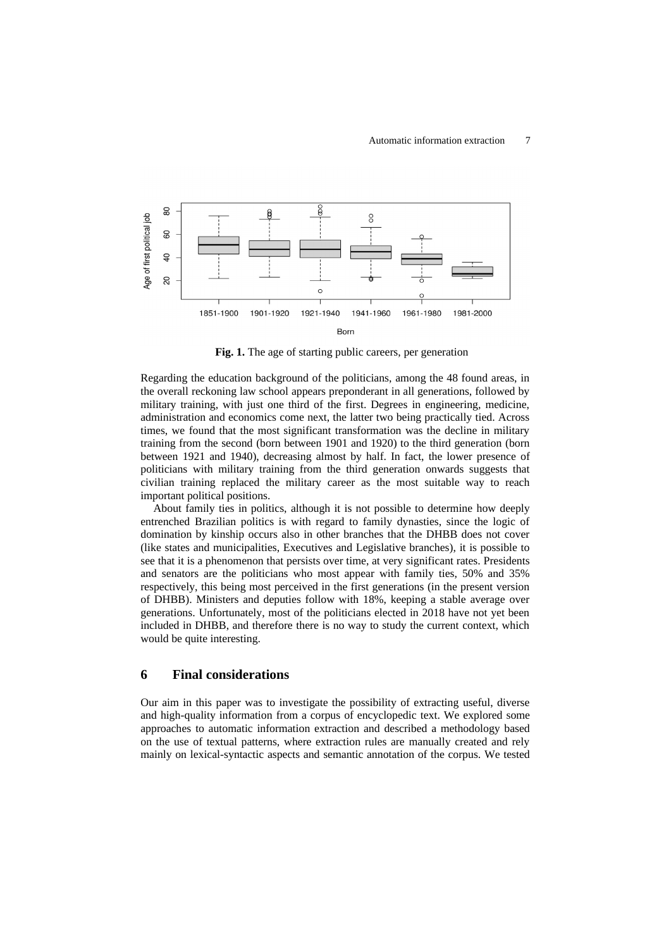#### Automatic information extraction 7



**Fig. 1.** The age of starting public careers, per generation

Regarding the education background of the politicians, among the 48 found areas, in the overall reckoning law school appears preponderant in all generations, followed by military training, with just one third of the first. Degrees in engineering, medicine, administration and economics come next, the latter two being practically tied. Across times, we found that the most significant transformation was the decline in military training from the second (born between 1901 and 1920) to the third generation (born between 1921 and 1940), decreasing almost by half. In fact, the lower presence of politicians with military training from the third generation onwards suggests that civilian training replaced the military career as the most suitable way to reach important political positions.

About family ties in politics, although it is not possible to determine how deeply entrenched Brazilian politics is with regard to family dynasties, since the logic of domination by kinship occurs also in other branches that the DHBB does not cover (like states and municipalities, Executives and Legislative branches), it is possible to see that it is a phenomenon that persists over time, at very significant rates. Presidents and senators are the politicians who most appear with family ties, 50% and 35% respectively, this being most perceived in the first generations (in the present version of DHBB). Ministers and deputies follow with 18%, keeping a stable average over generations. Unfortunately, most of the politicians elected in 2018 have not yet been included in DHBB, and therefore there is no way to study the current context, which would be quite interesting.

### **6 Final considerations**

Our aim in this paper was to investigate the possibility of extracting useful, diverse and high-quality information from a corpus of encyclopedic text. We explored some approaches to automatic information extraction and described a methodology based on the use of textual patterns, where extraction rules are manually created and rely mainly on lexical-syntactic aspects and semantic annotation of the corpus. We tested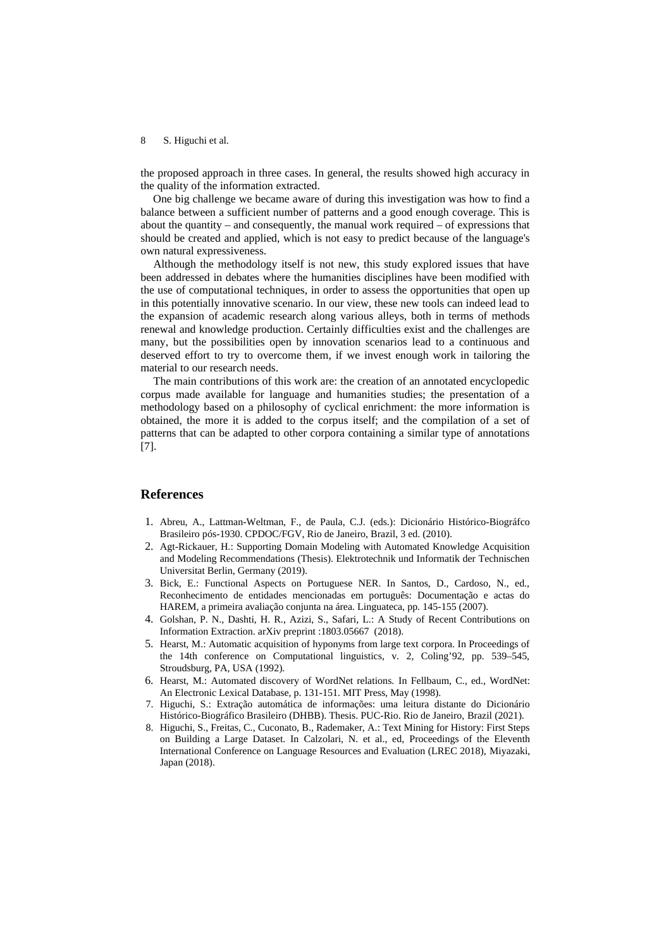the proposed approach in three cases. In general, the results showed high accuracy in the quality of the information extracted.

 One big challenge we became aware of during this investigation was how to find a balance between a sufficient number of patterns and a good enough coverage. This is about the quantity – and consequently, the manual work required – of expressions that should be created and applied, which is not easy to predict because of the language's own natural expressiveness.

Although the methodology itself is not new, this study explored issues that have been addressed in debates where the humanities disciplines have been modified with the use of computational techniques, in order to assess the opportunities that open up in this potentially innovative scenario. In our view, these new tools can indeed lead to the expansion of academic research along various alleys, both in terms of methods renewal and knowledge production. Certainly difficulties exist and the challenges are many, but the possibilities open by innovation scenarios lead to a continuous and deserved effort to try to overcome them, if we invest enough work in tailoring the material to our research needs.

The main contributions of this work are: the creation of an annotated encyclopedic corpus made available for language and humanities studies; the presentation of a methodology based on a philosophy of cyclical enrichment: the more information is obtained, the more it is added to the corpus itself; and the compilation of a set of patterns that can be adapted to other corpora containing a similar type of annotations [7].

### **References**

- 1. Abreu, A., Lattman-Weltman, F., de Paula, C.J. (eds.): Dicionário Histórico-Biográfco Brasileiro pós-1930. CPDOC/FGV, Rio de Janeiro, Brazil, 3 ed. (2010).
- 2. Agt-Rickauer, H.: Supporting Domain Modeling with Automated Knowledge Acquisition and Modeling Recommendations (Thesis). Elektrotechnik und Informatik der Technischen Universitat Berlin, Germany (2019).
- 3. Bick, E.: Functional Aspects on Portuguese NER. In Santos, D., Cardoso, N., ed., Reconhecimento de entidades mencionadas em português: Documentação e actas do HAREM, a primeira avaliação conjunta na área. Linguateca, pp. 145-155 (2007).
- 4. Golshan, P. N., Dashti, H. R., Azizi, S., Safari, L.: A Study of Recent Contributions on Information Extraction. arXiv preprint :1803.05667 (2018).
- 5. Hearst, M.: Automatic acquisition of hyponyms from large text corpora. In Proceedings of the 14th conference on Computational linguistics, v. 2, Coling'92, pp. 539–545, Stroudsburg, PA, USA (1992).
- 6. Hearst, M.: Automated discovery of WordNet relations. In Fellbaum, C., ed., WordNet: An Electronic Lexical Database, p. 131-151. MIT Press, May (1998).
- 7. Higuchi, S.: Extração automática de informações: uma leitura distante do Dicionário Histórico-Biográfico Brasileiro (DHBB). Thesis. PUC-Rio. Rio de Janeiro, Brazil (2021).
- 8. Higuchi, S., Freitas, C., Cuconato, B., Rademaker, A.: Text Mining for History: First Steps on Building a Large Dataset. In Calzolari, N. et al., ed, Proceedings of the Eleventh International Conference on Language Resources and Evaluation (LREC 2018), Miyazaki, Japan (2018).